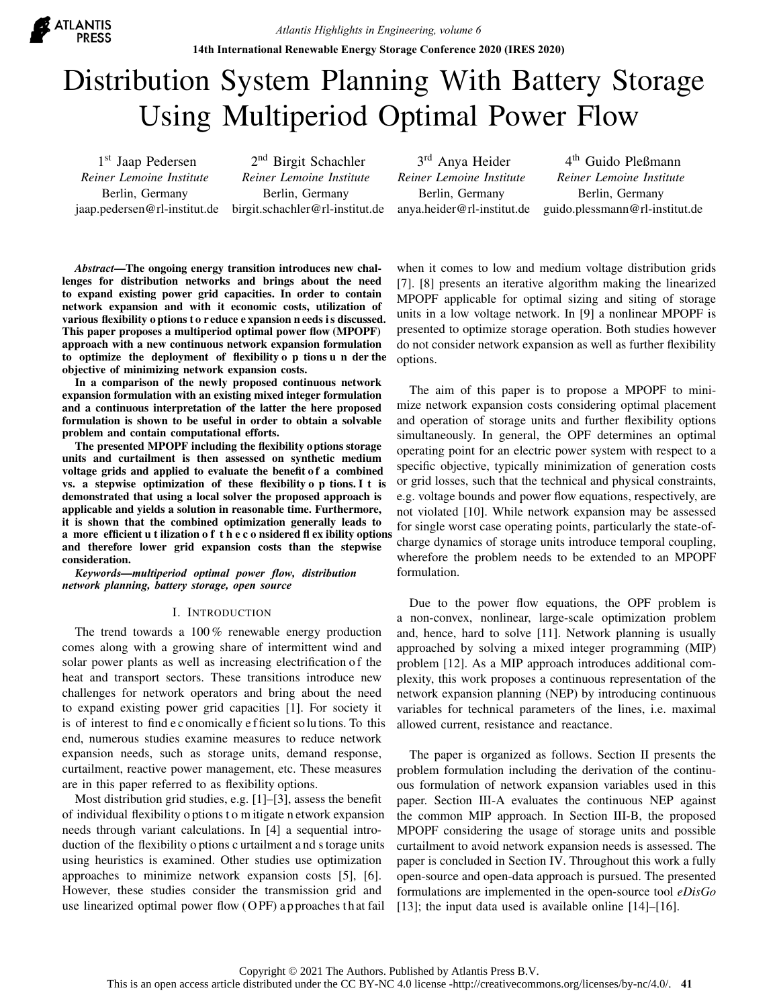

# Distribution System Planning With Battery Storage Using Multiperiod Optimal Power Flow

1st Jaap Pedersen *Reiner Lemoine Institute* Berlin, Germany

jaap.pedersen@rl-institut.de birgit.schachler@rl-institut.de 2<sup>nd</sup> Birgit Schachler *Reiner Lemoine Institute* Berlin, Germany

3<sup>rd</sup> Anya Heider *Reiner Lemoine Institute* Berlin, Germany anya.heider@rl-institut.de

4 th Guido Pleßmann *Reiner Lemoine Institute* Berlin, Germany guido.plessmann@rl-institut.de

*Abstract*—The ongoing energy transition introduces new challenges for distribution networks and brings about the need to expand existing power grid capacities. In order to contain network expansion and with it economic costs, utilization of various flexibility o ptions t o r educe e xpansion n eeds is discussed. This paper proposes a multiperiod optimal power flow (MPOPF) approach with a new continuous network expansion formulation to optimize the deployment of flexibility o p tions u n der the objective of minimizing network expansion costs.

In a comparison of the newly proposed continuous network expansion formulation with an existing mixed integer formulation and a continuous interpretation of the latter the here proposed formulation is shown to be useful in order to obtain a solvable problem and contain computational efforts.

The presented MPOPF including the flexibility options storage units and curtailment is then assessed on synthetic medium voltage grids and applied to evaluate the benefit of a combined vs. a stepwise optimization of these flexibility o p tions. I t is demonstrated that using a local solver the proposed approach is applicable and yields a solution in reasonable time. Furthermore, it is shown that the combined optimization generally leads to a more efficient u t ilization o f t h e c o nsidered fl ex ibility options and therefore lower grid expansion costs than the stepwise consideration.

*Keywords*—*multiperiod optimal power flow, distribution network planning, battery storage, open source*

## I. INTRODUCTION

The trend towards a 100 % renewable energy production comes along with a growing share of intermittent wind and solar power plants as well as increasing electrification of the heat and transport sectors. These transitions introduce new challenges for network operators and bring about the need to expand existing power grid capacities [1]. For society it is of interest to find e c onomically e f ficient so lu tions. To this end, numerous studies examine measures to reduce network expansion needs, such as storage units, demand response, curtailment, reactive power management, etc. These measures are in this paper referred to as flexibility options.

Most distribution grid studies, e.g. [1]–[3], assess the benefit of individual flexibility o ptions t o m itigate n etwork expansion needs through variant calculations. In [4] a sequential introduction of the flexibility o ptions c urtailment a nd storage units using heuristics is examined. Other studies use optimization approaches to minimize network expansion costs [5], [6]. However, these studies consider the transmission grid and use linearized optimal power flow (O PF) a p proaches th at fail when it comes to low and medium voltage distribution grids [7]. [8] presents an iterative algorithm making the linearized MPOPF applicable for optimal sizing and siting of storage units in a low voltage network. In [9] a nonlinear MPOPF is presented to optimize storage operation. Both studies however do not consider network expansion as well as further flexibility options.

The aim of this paper is to propose a MPOPF to minimize network expansion costs considering optimal placement and operation of storage units and further flexibility options simultaneously. In general, the OPF determines an optimal operating point for an electric power system with respect to a specific objective, typically minimization of generation costs or grid losses, such that the technical and physical constraints, e.g. voltage bounds and power flow equations, respectively, are not violated [10]. While network expansion may be assessed for single worst case operating points, particularly the state-ofcharge dynamics of storage units introduce temporal coupling, wherefore the problem needs to be extended to an MPOPF formulation.

Due to the power flow equations, the OPF problem is a non-convex, nonlinear, large-scale optimization problem and, hence, hard to solve [11]. Network planning is usually approached by solving a mixed integer programming (MIP) problem [12]. As a MIP approach introduces additional complexity, this work proposes a continuous representation of the network expansion planning (NEP) by introducing continuous variables for technical parameters of the lines, i.e. maximal allowed current, resistance and reactance.

The paper is organized as follows. Section II presents the problem formulation including the derivation of the continuous formulation of network expansion variables used in this paper. Section III-A evaluates the continuous NEP against the common MIP approach. In Section III-B, the proposed MPOPF considering the usage of storage units and possible curtailment to avoid network expansion needs is assessed. The paper is concluded in Section IV. Throughout this work a fully open-source and open-data approach is pursued. The presented formulations are implemented in the open-source tool *eDisGo* [13]; the input data used is available online [14]–[16].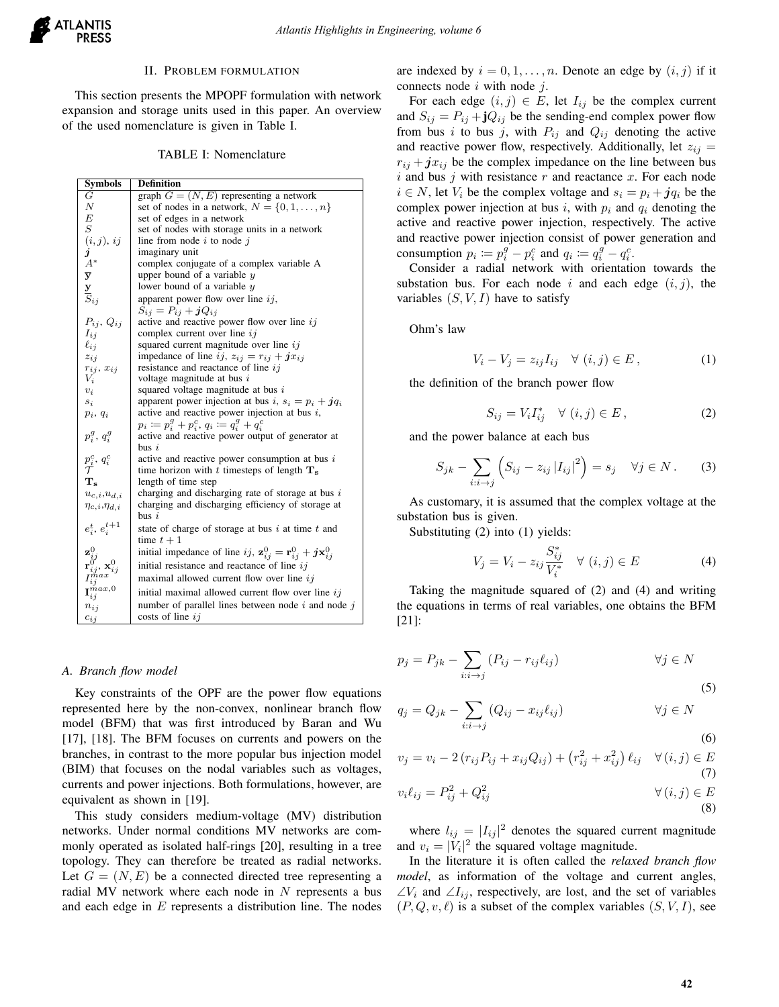

## II. PROBLEM FORMULATION

This section presents the MPOPF formulation with network expansion and storage units used in this paper. An overview of the used nomenclature is given in Table I.

TABLE I: Nomenclature

| Symbols                 | Definition                                                                                                                                                                                                                                                                                                                                                  |  |  |
|-------------------------|-------------------------------------------------------------------------------------------------------------------------------------------------------------------------------------------------------------------------------------------------------------------------------------------------------------------------------------------------------------|--|--|
| G                       | graph $G = (N, E)$ representing a network                                                                                                                                                                                                                                                                                                                   |  |  |
| $\boldsymbol{N}$        | set of nodes in a network, $N = \{0, 1, \ldots, n\}$                                                                                                                                                                                                                                                                                                        |  |  |
| $\boldsymbol{E}$        | set of edges in a network                                                                                                                                                                                                                                                                                                                                   |  |  |
| $\overline{S}$          | set of nodes with storage units in a network                                                                                                                                                                                                                                                                                                                |  |  |
|                         | line from node $i$ to node $j$                                                                                                                                                                                                                                                                                                                              |  |  |
|                         | imaginary unit                                                                                                                                                                                                                                                                                                                                              |  |  |
|                         | complex conjugate of a complex variable A                                                                                                                                                                                                                                                                                                                   |  |  |
|                         | upper bound of a variable $y$                                                                                                                                                                                                                                                                                                                               |  |  |
|                         | lower bound of a variable $y$                                                                                                                                                                                                                                                                                                                               |  |  |
|                         | apparent power flow over line $ij$ ,                                                                                                                                                                                                                                                                                                                        |  |  |
|                         | $S_{ij} = P_{ij} + jQ_{ij}$                                                                                                                                                                                                                                                                                                                                 |  |  |
|                         | active and reactive power flow over line $ij$                                                                                                                                                                                                                                                                                                               |  |  |
|                         | complex current over line $ij$                                                                                                                                                                                                                                                                                                                              |  |  |
| $\ell_{ij}$             | squared current magnitude over line $ij$                                                                                                                                                                                                                                                                                                                    |  |  |
|                         | impedance of line ij, $z_{ij} = r_{ij} + jx_{ij}$                                                                                                                                                                                                                                                                                                           |  |  |
|                         | resistance and reactance of line $ij$                                                                                                                                                                                                                                                                                                                       |  |  |
| $V_i$                   | voltage magnitude at bus $i$                                                                                                                                                                                                                                                                                                                                |  |  |
| $v_i$                   | squared voltage magnitude at bus $i$                                                                                                                                                                                                                                                                                                                        |  |  |
| $s_i$                   | apparent power injection at bus i, $s_i = p_i + jq_i$                                                                                                                                                                                                                                                                                                       |  |  |
| $p_i, q_i$              | active and reactive power injection at bus $i$ ,                                                                                                                                                                                                                                                                                                            |  |  |
|                         | $p_i := p_i^g + p_i^c, q_i := q_i^g + q_i^c$                                                                                                                                                                                                                                                                                                                |  |  |
|                         | active and reactive power output of generator at                                                                                                                                                                                                                                                                                                            |  |  |
|                         | $_{\text{bus}}$ i                                                                                                                                                                                                                                                                                                                                           |  |  |
|                         | active and reactive power consumption at bus $i$                                                                                                                                                                                                                                                                                                            |  |  |
|                         | time horizon with t timesteps of length $T_s$                                                                                                                                                                                                                                                                                                               |  |  |
| $T_{\rm s}$             | length of time step                                                                                                                                                                                                                                                                                                                                         |  |  |
|                         | charging and discharging rate of storage at bus $i$                                                                                                                                                                                                                                                                                                         |  |  |
| $\eta_{c,i},\eta_{d,i}$ | charging and discharging efficiency of storage at                                                                                                                                                                                                                                                                                                           |  |  |
|                         | $_{\text{bus}}$ i                                                                                                                                                                                                                                                                                                                                           |  |  |
|                         | state of charge of storage at bus $i$ at time $t$ and                                                                                                                                                                                                                                                                                                       |  |  |
|                         | time $t+1$                                                                                                                                                                                                                                                                                                                                                  |  |  |
|                         | initial impedance of line ij, $\mathbf{z}_{ij}^0 = \mathbf{r}_{ij}^0 + j\mathbf{x}_{ij}^0$                                                                                                                                                                                                                                                                  |  |  |
|                         | initial resistance and reactance of line $ij$                                                                                                                                                                                                                                                                                                               |  |  |
|                         | maximal allowed current flow over line $ij$                                                                                                                                                                                                                                                                                                                 |  |  |
|                         |                                                                                                                                                                                                                                                                                                                                                             |  |  |
|                         | initial maximal allowed current flow over line $ij$                                                                                                                                                                                                                                                                                                         |  |  |
| $n_{ij}$                | number of parallel lines between node $i$ and node $j$                                                                                                                                                                                                                                                                                                      |  |  |
| $c_{ij}$                | costs of line $ij$                                                                                                                                                                                                                                                                                                                                          |  |  |
|                         | (i, j), ij<br>$\dot{j}$<br>$A^*$<br>$\overline{\mathbf{y}}$<br>$\frac{\mathbf{y}}{S_{ij}}$<br>$P_{ij}$ , $Q_{ij}$<br>$I_{ij}$<br>$z_{ij}$<br>$r_{ij}, x_{ij}$<br>$p_i^g, q_i^g$<br>$p_i^c, q_i^c$<br>$u_{c,i}, u_{d,i}$<br>$e_i^t, e_i^{t+1}$<br>$\mathbf{r}_{ij}^{\v{0}},{\mathbf{x}}_{ij}^0 \ \mathbf{I}_{ij}^{max}$<br>$\mathbf{I}_{ij}^{\tilde{m}ax,0}$ |  |  |

#### *A. Branch flow model*

Key constraints of the OPF are the power flow equations represented here by the non-convex, nonlinear branch flow model (BFM) that was first introduced by Baran and Wu [17], [18]. The BFM focuses on currents and powers on the branches, in contrast to the more popular bus injection model (BIM) that focuses on the nodal variables such as voltages, currents and power injections. Both formulations, however, are equivalent as shown in [19].

This study considers medium-voltage (MV) distribution networks. Under normal conditions MV networks are commonly operated as isolated half-rings [20], resulting in a tree topology. They can therefore be treated as radial networks. Let  $G = (N, E)$  be a connected directed tree representing a radial MV network where each node in  $N$  represents a bus and each edge in E represents a distribution line. The nodes are indexed by  $i = 0, 1, \ldots, n$ . Denote an edge by  $(i, j)$  if it connects node  $i$  with node  $j$ .

For each edge  $(i, j) \in E$ , let  $I_{ij}$  be the complex current and  $S_{ij} = P_{ij} + jQ_{ij}$  be the sending-end complex power flow from bus i to bus j, with  $P_{ij}$  and  $Q_{ij}$  denoting the active and reactive power flow, respectively. Additionally, let  $z_{ij} =$  $r_{ij} + jx_{ij}$  be the complex impedance on the line between bus i and bus j with resistance  $r$  and reactance  $x$ . For each node  $i \in N$ , let  $V_i$  be the complex voltage and  $s_i = p_i + j q_i$  be the complex power injection at bus i, with  $p_i$  and  $q_i$  denoting the active and reactive power injection, respectively. The active and reactive power injection consist of power generation and consumption  $p_i := p_i^g - p_i^c$  and  $q_i := q_i^g - q_i^c$ .

Consider a radial network with orientation towards the substation bus. For each node i and each edge  $(i, j)$ , the variables  $(S, V, I)$  have to satisfy

Ohm's law

$$
V_i - V_j = z_{ij} I_{ij} \quad \forall (i, j) \in E, \tag{1}
$$

the definition of the branch power flow

$$
S_{ij} = V_i I_{ij}^* \quad \forall (i, j) \in E , \tag{2}
$$

and the power balance at each bus

$$
S_{jk} - \sum_{i:i \to j} \left( S_{ij} - z_{ij} |I_{ij}|^2 \right) = s_j \quad \forall j \in N. \tag{3}
$$

As customary, it is assumed that the complex voltage at the substation bus is given.

Substituting (2) into (1) yields:

$$
V_j = V_i - z_{ij} \frac{S_{ij}^*}{V_i^*} \quad \forall (i, j) \in E
$$
 (4)

Taking the magnitude squared of (2) and (4) and writing the equations in terms of real variables, one obtains the BFM [21]:

$$
p_j = P_{jk} - \sum_{i:i \to j} (P_{ij} - r_{ij}\ell_{ij}) \qquad \forall j \in N
$$
\n(5)

$$
q_j = Q_{jk} - \sum_{i:i \to j} (Q_{ij} - x_{ij} \ell_{ij}) \qquad \forall j \in N
$$
\n(6)

$$
v_j = v_i - 2(r_{ij}P_{ij} + x_{ij}Q_{ij}) + (r_{ij}^2 + x_{ij}^2) \ell_{ij} \quad \forall (i, j) \in E
$$
\n(7)

$$
v_i \ell_{ij} = P_{ij}^2 + Q_{ij}^2 \qquad \qquad \forall (i, j) \in E
$$
\n(8)

where  $l_{ij} = |I_{ij}|^2$  denotes the squared current magnitude and  $v_i = |V_i|^2$  the squared voltage magnitude.

In the literature it is often called the *relaxed branch flow model*, as information of the voltage and current angles,  $\angle V_i$  and  $\angle I_{ij}$ , respectively, are lost, and the set of variables  $(P, Q, v, \ell)$  is a subset of the complex variables  $(S, V, I)$ , see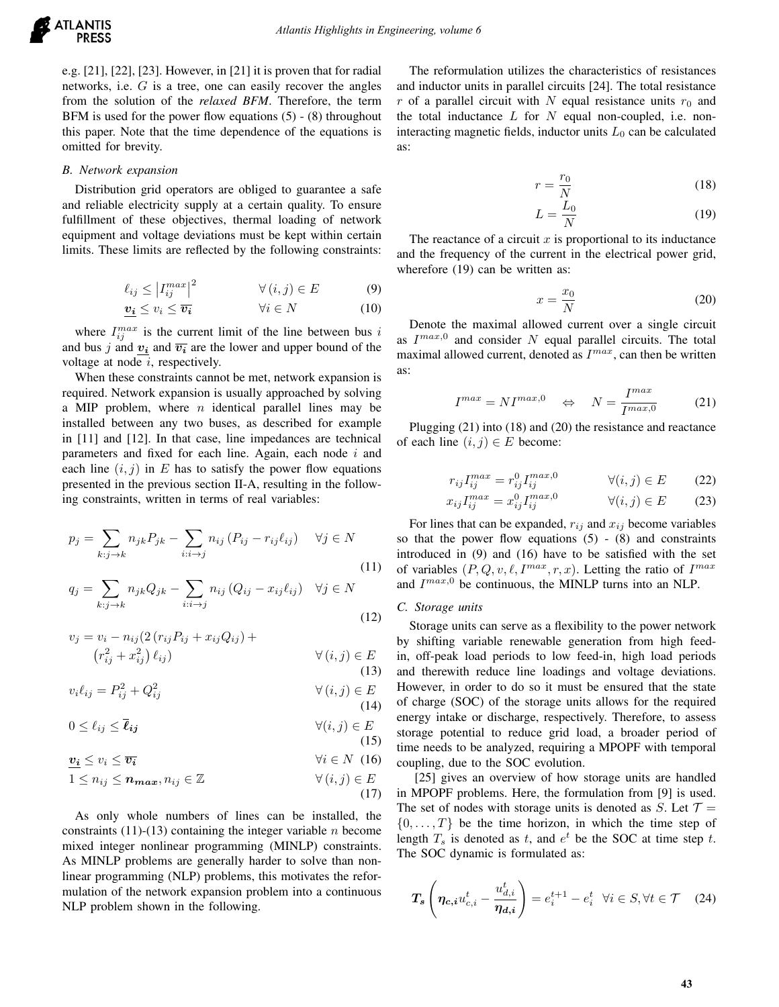e.g. [21], [22], [23]. However, in [21] it is proven that for radial networks, i.e.  $G$  is a tree, one can easily recover the angles from the solution of the *relaxed BFM*. Therefore, the term BFM is used for the power flow equations (5) - (8) throughout this paper. Note that the time dependence of the equations is omitted for brevity.

#### *B. Network expansion*

Distribution grid operators are obliged to guarantee a safe and reliable electricity supply at a certain quality. To ensure fulfillment of these objectives, thermal loading of network equipment and voltage deviations must be kept within certain limits. These limits are reflected by the following constraints:

$$
\ell_{ij} \le \left| I_{ij}^{max} \right|^2 \qquad \forall (i,j) \in E \tag{9}
$$

$$
\boldsymbol{v_i} \le v_i \le \overline{\boldsymbol{v_i}} \qquad \qquad \forall i \in N \tag{10}
$$

where  $I_{ij}^{max}$  is the current limit of the line between bus i and bus j and  $v_i$  and  $\overline{v_i}$  are the lower and upper bound of the voltage at node  $i$ , respectively.

When these constraints cannot be met, network expansion is required. Network expansion is usually approached by solving a MIP problem, where  $n$  identical parallel lines may be installed between any two buses, as described for example in [11] and [12]. In that case, line impedances are technical parameters and fixed for each line. Again, each node  $i$  and each line  $(i, j)$  in E has to satisfy the power flow equations presented in the previous section II-A, resulting in the following constraints, written in terms of real variables:

$$
p_j = \sum_{k:j \to k} n_{jk} P_{jk} - \sum_{i:i \to j} n_{ij} (P_{ij} - r_{ij} \ell_{ij}) \quad \forall j \in N
$$
\n(11)

$$
q_j = \sum_{k:j \to k} n_{jk} Q_{jk} - \sum_{i:i \to j} n_{ij} (Q_{ij} - x_{ij} \ell_{ij}) \quad \forall j \in N
$$
\n(12)

$$
v_j = v_i - n_{ij} (2 (r_{ij} P_{ij} + x_{ij} Q_{ij}) +
$$
  
\n
$$
(r_{ij}^2 + x_{ij}^2) \ell_{ij})
$$
  
\n
$$
\forall (i, j) \in E
$$
  
\n(13)

$$
v_i \ell_{ij} = P_{ij}^2 + Q_{ij}^2 \qquad \forall (i, j) \in E
$$
\n(14)

$$
0 \le \ell_{ij} \le \bar{\ell}_{ij} \qquad \forall (i, j) \in E
$$
\n(15)

$$
v_i \le v_i \le \overline{v_i} \qquad \qquad \forall i \in N \quad (16)
$$

$$
1 \le n_{ij} \le n_{max}, n_{ij} \in \mathbb{Z} \qquad \qquad \forall (i, j) \in E
$$

$$
(17)
$$

As only whole numbers of lines can be installed, the constraints (11)-(13) containing the integer variable  $n$  become mixed integer nonlinear programming (MINLP) constraints. As MINLP problems are generally harder to solve than nonlinear programming (NLP) problems, this motivates the reformulation of the network expansion problem into a continuous NLP problem shown in the following.

The reformulation utilizes the characteristics of resistances and inductor units in parallel circuits [24]. The total resistance r of a parallel circuit with N equal resistance units  $r_0$  and the total inductance  $L$  for  $N$  equal non-coupled, i.e. noninteracting magnetic fields, inductor units  $L_0$  can be calculated as:

$$
r = \frac{r_0}{N} \tag{18}
$$

$$
L = \frac{L_0}{N} \tag{19}
$$

The reactance of a circuit  $x$  is proportional to its inductance and the frequency of the current in the electrical power grid, wherefore (19) can be written as:

$$
x = \frac{x_0}{N} \tag{20}
$$

Denote the maximal allowed current over a single circuit as  $I^{max,0}$  and consider N equal parallel circuits. The total maximal allowed current, denoted as  $I^{max}$ , can then be written as:

$$
I^{max} = NI^{max,0} \quad \Leftrightarrow \quad N = \frac{I^{max}}{I^{max,0}} \tag{21}
$$

Plugging (21) into (18) and (20) the resistance and reactance of each line  $(i, j) \in E$  become:

$$
r_{ij}I_{ij}^{max} = r_{ij}^0 I_{ij}^{max,0} \qquad \qquad \forall (i,j) \in E \qquad (22)
$$

$$
x_{ij}I_{ij}^{max} = x_{ij}^0 I_{ij}^{max,0} \qquad \qquad \forall (i,j) \in E \qquad (23)
$$

For lines that can be expanded,  $r_{ij}$  and  $x_{ij}$  become variables so that the power flow equations  $(5)$  -  $(8)$  and constraints introduced in (9) and (16) have to be satisfied with the set of variables  $(P, Q, v, \ell, I^{max}, r, x)$ . Letting the ratio of  $I^{max}$ and  $I^{max,0}$  be continuous, the MINLP turns into an NLP.

## *C. Storage units*

Storage units can serve as a flexibility to the power network by shifting variable renewable generation from high feedin, off-peak load periods to low feed-in, high load periods and therewith reduce line loadings and voltage deviations. However, in order to do so it must be ensured that the state of charge (SOC) of the storage units allows for the required energy intake or discharge, respectively. Therefore, to assess storage potential to reduce grid load, a broader period of time needs to be analyzed, requiring a MPOPF with temporal coupling, due to the SOC evolution.

[25] gives an overview of how storage units are handled in MPOPF problems. Here, the formulation from [9] is used. The set of nodes with storage units is denoted as S. Let  $\mathcal{T} =$  $\{0, \ldots, T\}$  be the time horizon, in which the time step of length  $T_s$  is denoted as t, and  $e^t$  be the SOC at time step t. The SOC dynamic is formulated as:

$$
T_s\left(\eta_{c,i}u_{c,i}^t - \frac{u_{d,i}^t}{\eta_{d,i}}\right) = e_i^{t+1} - e_i^t \quad \forall i \in S, \forall t \in \mathcal{T} \quad (24)
$$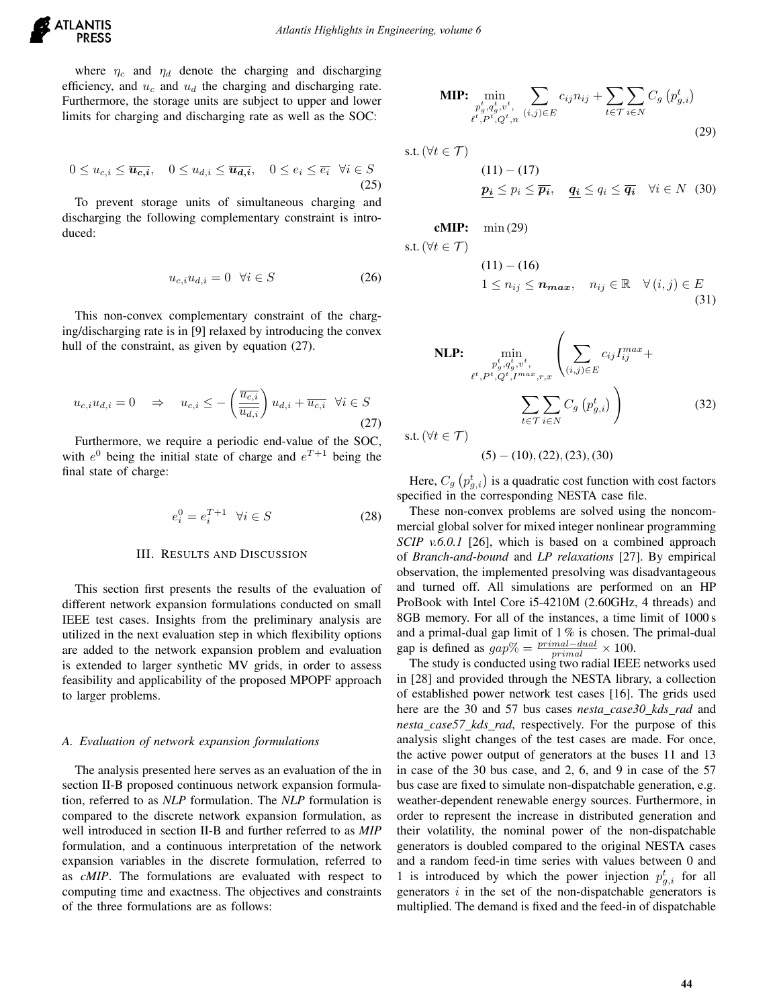where  $\eta_c$  and  $\eta_d$  denote the charging and discharging efficiency, and  $u_c$  and  $u_d$  the charging and discharging rate. Furthermore, the storage units are subject to upper and lower limits for charging and discharging rate as well as the SOC:

$$
0 \le u_{c,i} \le \overline{u_{c,i}}, \quad 0 \le u_{d,i} \le \overline{u_{d,i}}, \quad 0 \le e_i \le \overline{e_i} \quad \forall i \in S
$$
\n(25)

To prevent storage units of simultaneous charging and discharging the following complementary constraint is introduced:

$$
u_{c,i}u_{d,i} = 0 \quad \forall i \in S \tag{26}
$$

This non-convex complementary constraint of the charging/discharging rate is in [9] relaxed by introducing the convex hull of the constraint, as given by equation (27).

$$
u_{c,i}u_{d,i} = 0 \quad \Rightarrow \quad u_{c,i} \le -\left(\frac{\overline{u_{c,i}}}{\overline{u_{d,i}}}\right)u_{d,i} + \overline{u_{c,i}} \quad \forall i \in S
$$
\n
$$
(27)
$$

Furthermore, we require a periodic end-value of the SOC, with  $e^0$  being the initial state of charge and  $e^{T+1}$  being the final state of charge:

$$
e_i^0 = e_i^{T+1} \quad \forall i \in S \tag{28}
$$

#### III. RESULTS AND DISCUSSION

This section first presents the results of the evaluation of different network expansion formulations conducted on small IEEE test cases. Insights from the preliminary analysis are utilized in the next evaluation step in which flexibility options are added to the network expansion problem and evaluation is extended to larger synthetic MV grids, in order to assess feasibility and applicability of the proposed MPOPF approach to larger problems.

## *A. Evaluation of network expansion formulations*

The analysis presented here serves as an evaluation of the in section II-B proposed continuous network expansion formulation, referred to as *NLP* formulation. The *NLP* formulation is compared to the discrete network expansion formulation, as well introduced in section II-B and further referred to as *MIP* formulation, and a continuous interpretation of the network expansion variables in the discrete formulation, referred to as *cMIP*. The formulations are evaluated with respect to computing time and exactness. The objectives and constraints of the three formulations are as follows:

**MIP:** 
$$
\min_{\substack{p_g^t, q_g^t, v^t, \\ \ell^t, P^t, Q^t, n}} \sum_{(i,j) \in E} c_{ij} n_{ij} + \sum_{t \in \mathcal{T}} \sum_{i \in N} C_g \left( p_{g,i}^t \right)
$$
(29)

s.t. 
$$
(\forall t \in \mathcal{T})
$$

$$
(11) - (17)
$$
  

$$
\underline{\mathbf{p_i}} \le p_i \le \overline{\mathbf{p_i}}, \quad \underline{\mathbf{q_i}} \le q_i \le \overline{\mathbf{q_i}} \quad \forall i \in N \quad (30)
$$

$$
cMIP: \quad \min{(29)}
$$

$$
\text{s.t.} \, (\forall t \in \mathcal{T})
$$

$$
(11) - (16)
$$
  

$$
1 \le n_{ij} \le n_{max}, \quad n_{ij} \in \mathbb{R} \quad \forall (i, j) \in E
$$
  
(31)

NLP: 
$$
\min_{\substack{p_g^t, q_g^t, v^t, \\ e^t, P^t, Q^t, I^{max}, r, x}} \left( \sum_{(i,j) \in E} c_{ij} I_{ij}^{max} + \sum_{t \in \mathcal{T}} \sum_{i \in N} C_g (p_{g,i}^t) \right)
$$
(32)

s.t. ( $\forall t \in \mathcal{T}$ )

 $(5) - (10), (22), (23), (30)$ 

Here,  $C_g(p_{g,i}^t)$  is a quadratic cost function with cost factors specified in the corresponding NESTA case file.

These non-convex problems are solved using the noncommercial global solver for mixed integer nonlinear programming *SCIP v.6.0.1* [26], which is based on a combined approach of *Branch-and-bound* and *LP relaxations* [27]. By empirical observation, the implemented presolving was disadvantageous and turned off. All simulations are performed on an HP ProBook with Intel Core i5-4210M (2.60GHz, 4 threads) and 8GB memory. For all of the instances, a time limit of 1000 s and a primal-dual gap limit of  $1\%$  is chosen. The primal-dual gap is defined as  $gap\% = \frac{primal-dual}{primal} \times 100$ .

The study is conducted using two radial IEEE networks used in [28] and provided through the NESTA library, a collection of established power network test cases [16]. The grids used here are the 30 and 57 bus cases *nesta case30 kds rad* and *nesta case57 kds rad*, respectively. For the purpose of this analysis slight changes of the test cases are made. For once, the active power output of generators at the buses 11 and 13 in case of the 30 bus case, and 2, 6, and 9 in case of the 57 bus case are fixed to simulate non-dispatchable generation, e.g. weather-dependent renewable energy sources. Furthermore, in order to represent the increase in distributed generation and their volatility, the nominal power of the non-dispatchable generators is doubled compared to the original NESTA cases and a random feed-in time series with values between 0 and 1 is introduced by which the power injection  $p_{g,i}^t$  for all generators  $i$  in the set of the non-dispatchable generators is multiplied. The demand is fixed and the feed-in of dispatchable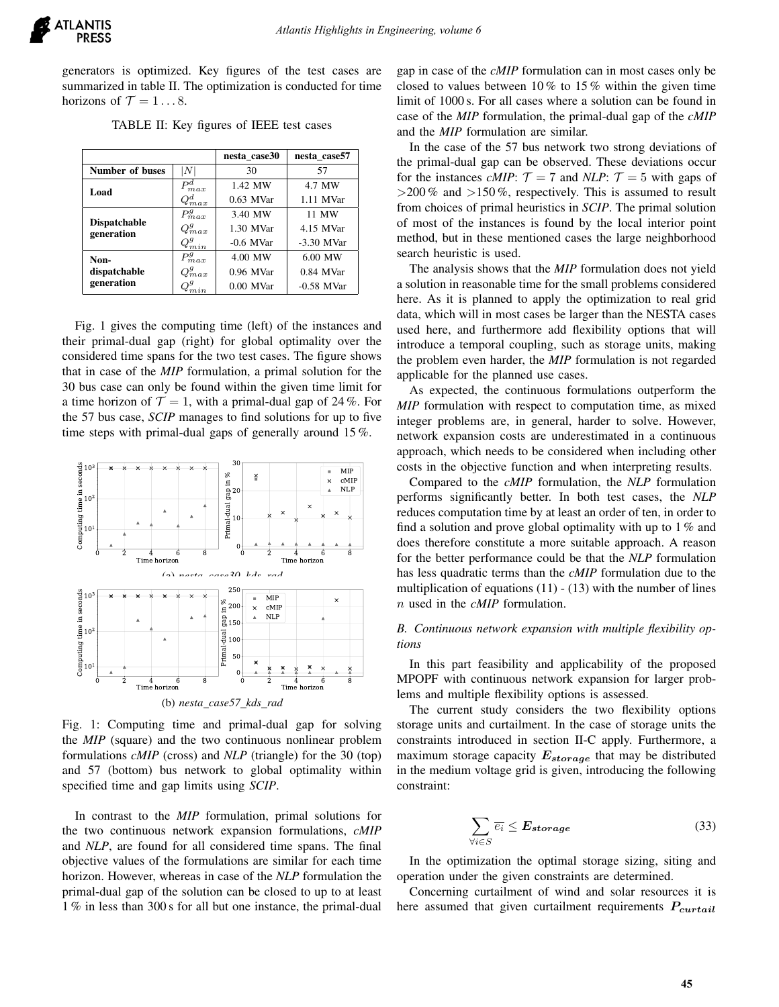generators is optimized. Key figures of the test cases are summarized in table II. The optimization is conducted for time horizons of  $\mathcal{T} = 1 \dots 8$ .

|                                   |             | nesta case30 | nesta case57 |
|-----------------------------------|-------------|--------------|--------------|
| Number of buses                   | İN          | 30           | 57           |
| Load                              | $P_{max}^d$ | 1.42 MW      | 4.7 MW       |
|                                   | $Q_{max}^d$ | $0.63$ MVar  | 1.11 MVar    |
| <b>Dispatchable</b><br>generation | $P_{max}^g$ | 3.40 MW      | 11 MW        |
|                                   | $Q_{max}^g$ | 1.30 MVar    | 4.15 MVar    |
|                                   | $Q_{min}^g$ | $-0.6$ MVar  | -3.30 MVar   |
| Non-                              | $P_{max}^g$ | 4.00 MW      | 6.00 MW      |
| dispatchable                      | $Q_{max}^g$ | 0.96 MVar    | $0.84$ MVar  |
| generation                        |             | $0.00$ MVar  | $-0.58$ MVar |

TABLE II: Key figures of IEEE test cases

Fig. 1 gives the computing time (left) of the instances and their primal-dual gap (right) for global optimality over the considered time spans for the two test cases. The figure shows that in case of the *MIP* formulation, a primal solution for the 30 bus case can only be found within the given time limit for a time horizon of  $\mathcal{T} = 1$ , with a primal-dual gap of 24%. For the 57 bus case, *SCIP* manages to find solutions for up to five time steps with primal-dual gaps of generally around 15 %.



Fig. 1: Computing time and primal-dual gap for solving the *MIP* (square) and the two continuous nonlinear problem formulations *cMIP* (cross) and *NLP* (triangle) for the 30 (top) and 57 (bottom) bus network to global optimality within specified time and gap limits using *SCIP*.

In contrast to the *MIP* formulation, primal solutions for the two continuous network expansion formulations, *cMIP* and *NLP*, are found for all considered time spans. The final objective values of the formulations are similar for each time horizon. However, whereas in case of the *NLP* formulation the primal-dual gap of the solution can be closed to up to at least 1 % in less than 300 s for all but one instance, the primal-dual gap in case of the *cMIP* formulation can in most cases only be closed to values between  $10\%$  to  $15\%$  within the given time limit of 1000 s. For all cases where a solution can be found in case of the *MIP* formulation, the primal-dual gap of the *cMIP* and the *MIP* formulation are similar.

In the case of the 57 bus network two strong deviations of the primal-dual gap can be observed. These deviations occur for the instances *cMIP*:  $T = 7$  and *NLP*:  $T = 5$  with gaps of  $>200\%$  and  $>150\%$ , respectively. This is assumed to result from choices of primal heuristics in *SCIP*. The primal solution of most of the instances is found by the local interior point method, but in these mentioned cases the large neighborhood search heuristic is used.

The analysis shows that the *MIP* formulation does not yield a solution in reasonable time for the small problems considered here. As it is planned to apply the optimization to real grid data, which will in most cases be larger than the NESTA cases used here, and furthermore add flexibility options that will introduce a temporal coupling, such as storage units, making the problem even harder, the *MIP* formulation is not regarded applicable for the planned use cases.

As expected, the continuous formulations outperform the *MIP* formulation with respect to computation time, as mixed integer problems are, in general, harder to solve. However, network expansion costs are underestimated in a continuous approach, which needs to be considered when including other costs in the objective function and when interpreting results.

Compared to the *cMIP* formulation, the *NLP* formulation performs significantly better. In both test cases, the *NLP* reduces computation time by at least an order of ten, in order to find a solution and prove global optimality with up to  $1\%$  and does therefore constitute a more suitable approach. A reason for the better performance could be that the *NLP* formulation has less quadratic terms than the *cMIP* formulation due to the multiplication of equations  $(11) - (13)$  with the number of lines n used in the *cMIP* formulation.

## *B. Continuous network expansion with multiple flexibility options*

In this part feasibility and applicability of the proposed MPOPF with continuous network expansion for larger problems and multiple flexibility options is assessed.

The current study considers the two flexibility options storage units and curtailment. In the case of storage units the constraints introduced in section II-C apply. Furthermore, a maximum storage capacity  $E_{storage}$  that may be distributed in the medium voltage grid is given, introducing the following constraint:

$$
\sum_{\forall i \in S} \overline{e_i} \le \mathbf{E}_{storage} \tag{33}
$$

In the optimization the optimal storage sizing, siting and operation under the given constraints are determined.

Concerning curtailment of wind and solar resources it is here assumed that given curtailment requirements  $P_{\text{curtail}}$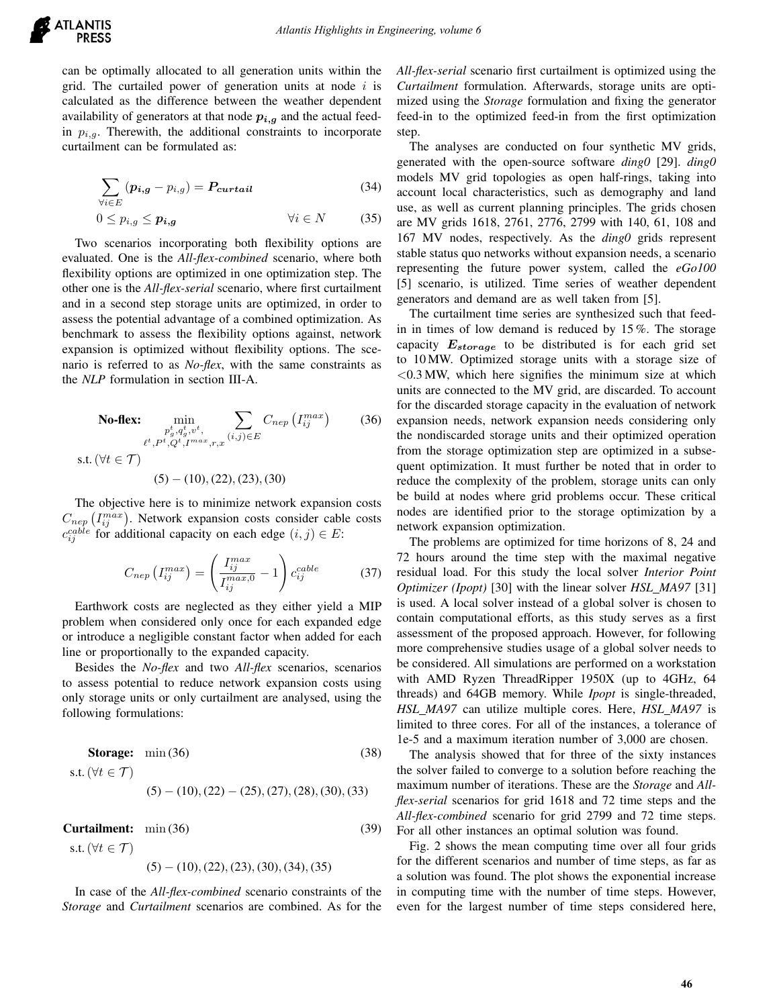

can be optimally allocated to all generation units within the grid. The curtailed power of generation units at node  $i$  is calculated as the difference between the weather dependent availability of generators at that node  $p_{i,g}$  and the actual feedin  $p_{i,q}$ . Therewith, the additional constraints to incorporate curtailment can be formulated as:

$$
\sum_{\forall i \in E} (p_{i,g} - p_{i,g}) = P_{\text{curtail}} \tag{34}
$$

$$
0 \le p_{i,g} \le p_{i,g} \qquad \qquad \forall i \in N \qquad (35)
$$

Two scenarios incorporating both flexibility options are evaluated. One is the *All-flex-combined* scenario, where both flexibility options are optimized in one optimization step. The other one is the *All-flex-serial* scenario, where first curtailment and in a second step storage units are optimized, in order to assess the potential advantage of a combined optimization. As benchmark to assess the flexibility options against, network expansion is optimized without flexibility options. The scenario is referred to as *No-flex*, with the same constraints as the *NLP* formulation in section III-A.

**No-flex:** 
$$
\min_{\substack{p_g^t, q_g^t, v^t, \\ \ell^t, P^t, Q^t, I^{max}, r, x}} \sum_{(i,j) \in E} C_{nep} (I_{ij}^{max})
$$
 (36)  
s.t.  $(\forall t \in \mathcal{T})$   
(5) – (10), (22), (23), (30)

The objective here is to minimize network expansion costs  $C_{nep}$   $(I_{ij}^{max})$ . Network expansion costs consider cable costs  $c_{ij}^{cable}$  for additional capacity on each edge  $(i, j) \in E$ :

$$
C_{nep} \left( I_{ij}^{max} \right) = \left( \frac{I_{ij}^{max}}{I_{ij}^{max,0}} - 1 \right) c_{ij}^{cable} \tag{37}
$$

Earthwork costs are neglected as they either yield a MIP problem when considered only once for each expanded edge or introduce a negligible constant factor when added for each line or proportionally to the expanded capacity.

Besides the *No-flex* and two *All-flex* scenarios, scenarios to assess potential to reduce network expansion costs using only storage units or only curtailment are analysed, using the following formulations:

**Storage:** min (36) (38)  
s.t. 
$$
(\forall t \in \mathcal{T})
$$
 (5) – (10), (22) – (25), (27), (28), (30), (33)

**Curtailment:**  $\min(36)$  (39) s.t. ( $\forall t \in \mathcal{T}$ )  $(5) - (10), (22), (23), (30), (34), (35)$ 

In case of the *All-flex-combined* scenario constraints of the *Storage* and *Curtailment* scenarios are combined. As for the *All-flex-serial* scenario first curtailment is optimized using the *Curtailment* formulation. Afterwards, storage units are optimized using the *Storage* formulation and fixing the generator feed-in to the optimized feed-in from the first optimization step.

The analyses are conducted on four synthetic MV grids, generated with the open-source software *ding0* [29]. *ding0* models MV grid topologies as open half-rings, taking into account local characteristics, such as demography and land use, as well as current planning principles. The grids chosen are MV grids 1618, 2761, 2776, 2799 with 140, 61, 108 and 167 MV nodes, respectively. As the *ding0* grids represent stable status quo networks without expansion needs, a scenario representing the future power system, called the *eGo100* [5] scenario, is utilized. Time series of weather dependent generators and demand are as well taken from [5].

The curtailment time series are synthesized such that feedin in times of low demand is reduced by 15 %. The storage capacity  $E_{storage}$  to be distributed is for each grid set to 10 MW. Optimized storage units with a storage size of  $<$  0.3 MW, which here signifies the minimum size at which units are connected to the MV grid, are discarded. To account for the discarded storage capacity in the evaluation of network expansion needs, network expansion needs considering only the nondiscarded storage units and their optimized operation from the storage optimization step are optimized in a subsequent optimization. It must further be noted that in order to reduce the complexity of the problem, storage units can only be build at nodes where grid problems occur. These critical nodes are identified prior to the storage optimization by a network expansion optimization.

The problems are optimized for time horizons of 8, 24 and 72 hours around the time step with the maximal negative residual load. For this study the local solver *Interior Point Optimizer (Ipopt)* [30] with the linear solver *HSL MA97* [31] is used. A local solver instead of a global solver is chosen to contain computational efforts, as this study serves as a first assessment of the proposed approach. However, for following more comprehensive studies usage of a global solver needs to be considered. All simulations are performed on a workstation with AMD Ryzen ThreadRipper 1950X (up to 4GHz, 64 threads) and 64GB memory. While *Ipopt* is single-threaded, *HSL MA97* can utilize multiple cores. Here, *HSL MA97* is limited to three cores. For all of the instances, a tolerance of 1e-5 and a maximum iteration number of 3,000 are chosen.

The analysis showed that for three of the sixty instances the solver failed to converge to a solution before reaching the maximum number of iterations. These are the *Storage* and *Allflex-serial* scenarios for grid 1618 and 72 time steps and the *All-flex-combined* scenario for grid 2799 and 72 time steps. For all other instances an optimal solution was found.

Fig. 2 shows the mean computing time over all four grids for the different scenarios and number of time steps, as far as a solution was found. The plot shows the exponential increase in computing time with the number of time steps. However, even for the largest number of time steps considered here,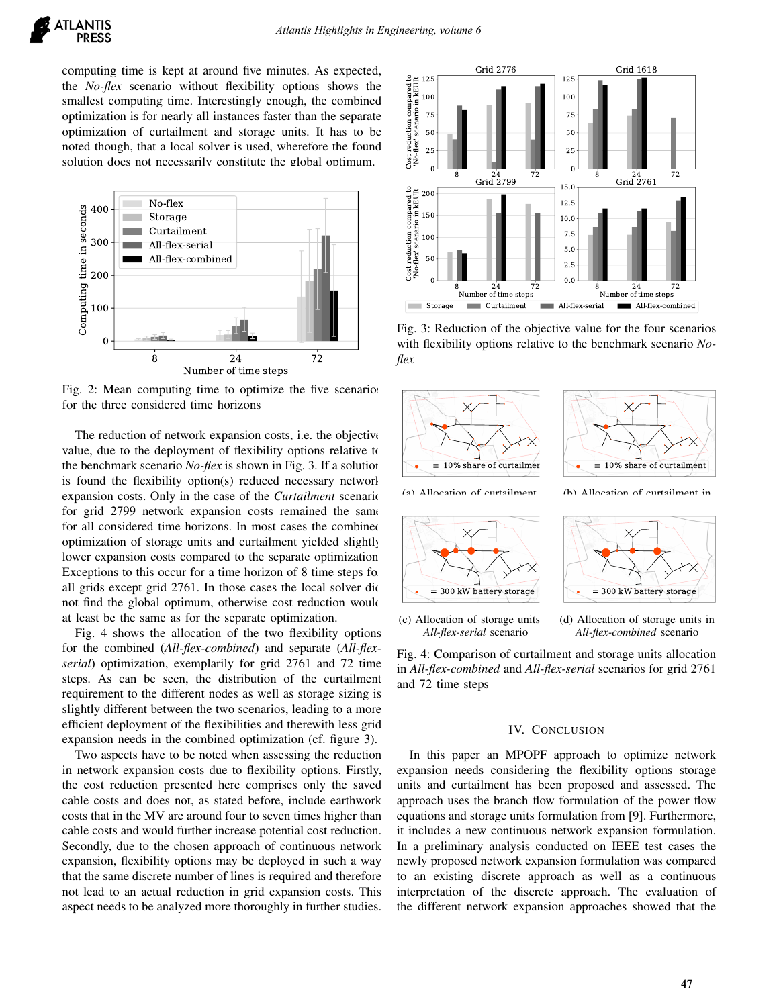computing time is kept at around five minutes. As expected, the *No-flex* scenario without flexibility options shows the smallest computing time. Interestingly enough, the combined optimization is for nearly all instances faster than the separate optimization of curtailment and storage units. It has to be noted though, that a local solver is used, wherefore the found solution does not necessarily constitute the global optimum.



Fig. 2: Mean computing time to optimize the five scenarios for the three considered time horizons

The reduction of network expansion costs, i.e. the objective value, due to the deployment of flexibility options relative to the benchmark scenario *No-flex* is shown in Fig. 3. If a solution is found the flexibility option(s) reduced necessary network expansion costs. Only in the case of the *Curtailment* scenario for grid 2799 network expansion costs remained the same for all considered time horizons. In most cases the combined optimization of storage units and curtailment yielded slightly lower expansion costs compared to the separate optimization. Exceptions to this occur for a time horizon of 8 time steps for all grids except grid 2761. In those cases the local solver did not find the global optimum, otherwise cost reduction would at least be the same as for the separate optimization.

Fig. 4 shows the allocation of the two flexibility options for the combined (*All-flex-combined*) and separate (*All-flexserial*) optimization, exemplarily for grid 2761 and 72 time steps. As can be seen, the distribution of the curtailment requirement to the different nodes as well as storage sizing is slightly different between the two scenarios, leading to a more efficient deployment of the flexibilities and therewith less grid expansion needs in the combined optimization (cf. figure 3).

Two aspects have to be noted when assessing the reduction in network expansion costs due to flexibility options. Firstly, the cost reduction presented here comprises only the saved cable costs and does not, as stated before, include earthwork costs that in the MV are around four to seven times higher than cable costs and would further increase potential cost reduction. Secondly, due to the chosen approach of continuous network expansion, flexibility options may be deployed in such a way that the same discrete number of lines is required and therefore not lead to an actual reduction in grid expansion costs. This aspect needs to be analyzed more thoroughly in further studies.



Fig. 3: Reduction of the objective value for the four scenarios with flexibility options relative to the benchmark scenario *Noflex*



Fig. 4: Comparison of curtailment and storage units allocation in *All-flex-combined* and *All-flex-serial* scenarios for grid 2761 and 72 time steps

#### IV. CONCLUSION

In this paper an MPOPF approach to optimize network expansion needs considering the flexibility options storage units and curtailment has been proposed and assessed. The approach uses the branch flow formulation of the power flow equations and storage units formulation from [9]. Furthermore, it includes a new continuous network expansion formulation. In a preliminary analysis conducted on IEEE test cases the newly proposed network expansion formulation was compared to an existing discrete approach as well as a continuous interpretation of the discrete approach. The evaluation of the different network expansion approaches showed that the